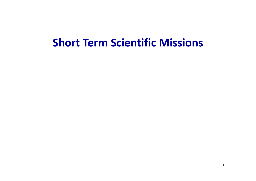# **Short Term Scientific Missions**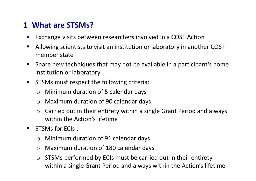#### **<sup>1</sup> What are STSMs?**

- $\mathcal{L}_{\mathcal{A}}$ Exchange visits between researchers involved in a COST Action
- $\mathbb{R}^3$  Allowing scientists to visit an institution or laboratory in another COST member state
- $\mathcal{L}_{\text{max}}$  Share new techniques that may not be available in a participant's home institution or laboratory
- $\mathcal{L}_{\mathrm{eff}}$  STSMs must respect the following criteria:
	- o Minimum duration of 5 calendar days
	- o Maximum duration of 90 calendar days
	- $\Omega$  Carried out in their entirety within a single Grant Period and always within the Action's lifetime
- $\blacksquare$  STSMs for ECIs :
	- o Minimum duration of 91 calendar days
	- o Maximum duration of 180 calendar days
	- o STSMs performed by ECIs must be carried out in their entirety within a single Grant Period and always within the Action's lifetime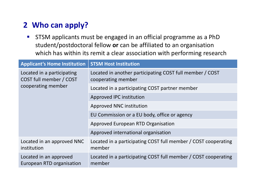## **<sup>2</sup> Who can apply?**

 $\mathcal{L}_{\mathcal{A}}$  STSM applicants must be engaged in an official programme as a PhDstudent/postdoctoral fellow **or** can be affiliated to an organisation which has within its remit a clear association with performing research

| <b>Applicant's Home Institution</b>                                         | <b>STSM Host Institution</b>                                                   |
|-----------------------------------------------------------------------------|--------------------------------------------------------------------------------|
| Located in a participating<br>COST full member / COST<br>cooperating member | Located in another participating COST full member / COST<br>cooperating member |
|                                                                             | Located in a participating COST partner member                                 |
|                                                                             | Approved IPC institution                                                       |
|                                                                             | Approved NNC institution                                                       |
|                                                                             | EU Commission or a EU body, office or agency                                   |
|                                                                             | Approved European RTD Organisation                                             |
|                                                                             | Approved international organisation                                            |
| Located in an approved NNC<br>institution                                   | Located in a participating COST full member / COST cooperating<br>member       |
| Located in an approved<br>European RTD organisation                         | Located in a participating COST full member / COST cooperating<br>member       |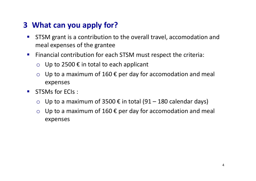### **<sup>3</sup> What can you apply for?**

- $\mathcal{L}_{\mathcal{A}}$  STSM grant is a contribution to the overall travel, accomodation andmeal expenses of the grantee
- $\mathbf{r}$  Financial contribution for each STSM must respect the criteria:
	- Up to 2500  $\epsilon$  in total to each applicant
	- o Up to a maximum of 160  $\epsilon$  per day for accomodation and meal expenses
- $\mathcal{L}_{\mathcal{A}}$  STSMs for ECIs :
	- o Up to a maximum of 3500 € in total (91 180 calendar days)
	- o Up to a maximum of 160  $\epsilon$  per day for accomodation and meal expenses